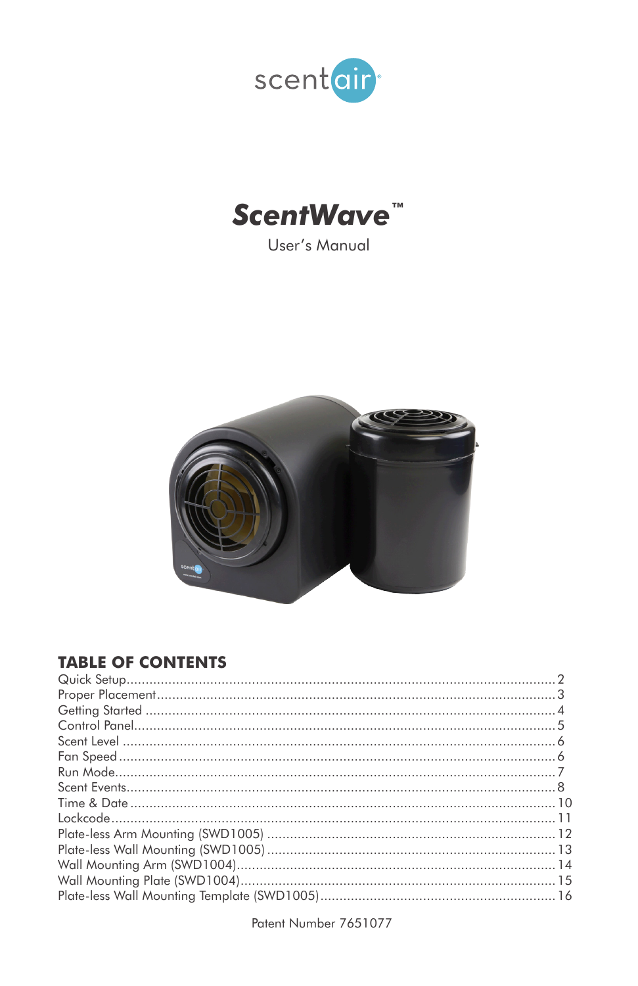



User's Manual



### **TABLE OF CONTENTS**

Patent Number 7651077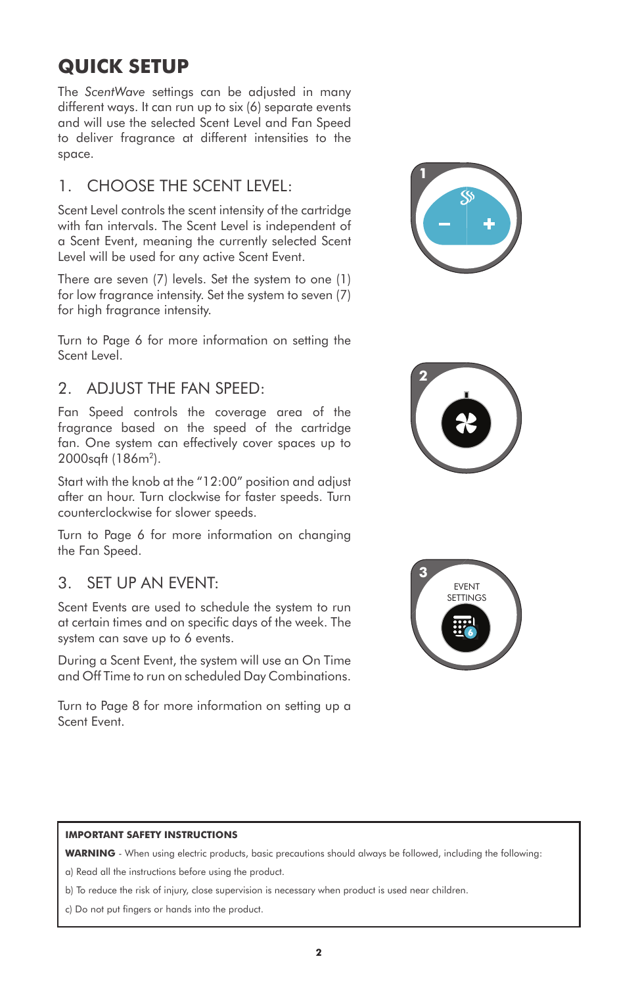## **QUICK SETUP**

The *ScentWave* settings can be adjusted in many different ways. It can run up to six (6) separate events and will use the selected Scent Level and Fan Speed to deliver fragrance at different intensities to the space.

#### 1. CHOOSE THE SCENT LEVEL:

Scent Level controls the scent intensity of the cartridge with fan intervals. The Scent Level is independent of a Scent Event, meaning the currently selected Scent Level will be used for any active Scent Event.

There are seven (7) levels. Set the system to one (1) for low fragrance intensity. Set the system to seven (7) for high fragrance intensity.

Turn to Page 6 for more information on setting the Scent Level.

#### 2. ADJUST THE FAN SPEED:

Fan Speed controls the coverage area of the fragrance based on the speed of the cartridge fan. One system can effectively cover spaces up to 2000sqft (186m<sup>2</sup>).

Start with the knob at the "12:00" position and adjust after an hour. Turn clockwise for faster speeds. Turn counterclockwise for slower speeds.

Turn to Page 6 for more information on changing the Fan Speed.

#### 3. SET UP AN EVENT:

Scent Events are used to schedule the system to run at certain times and on specific days of the week. The system can save up to 6 events.

During a Scent Event, the system will use an On Time and Off Time to run on scheduled Day Combinations.

Turn to Page 8 for more information on setting up a Scent Event.







#### **IMPORTANT SAFETY INSTRUCTIONS**

**WARNING** - When using electric products, basic precautions should always be followed, including the following:

a) Read all the instructions before using the product.

b) To reduce the risk of injury, close supervision is necessary when product is used near children.

c) Do not put fingers or hands into the product.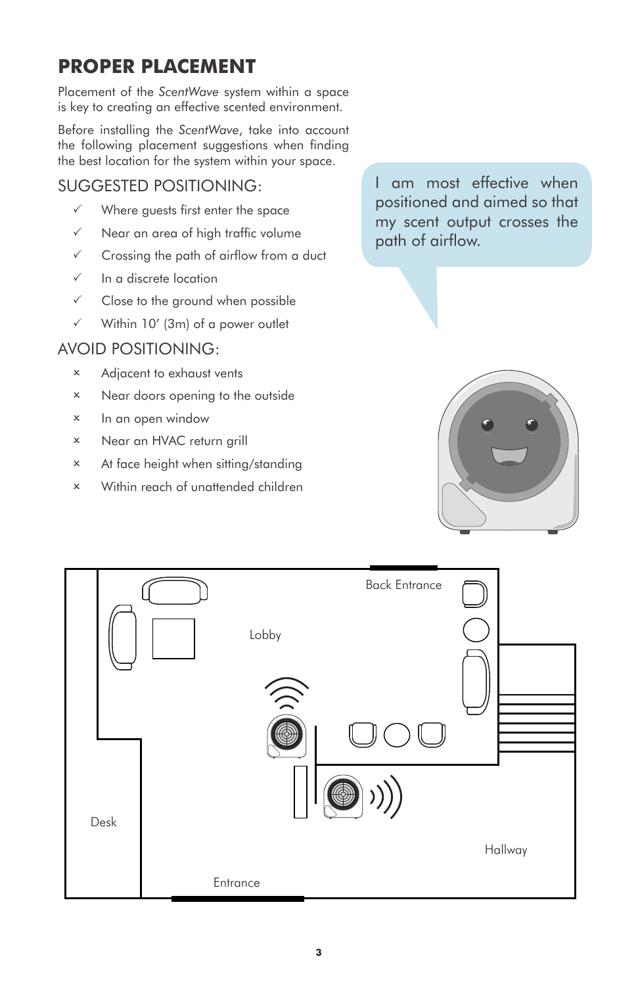## **PROPER PLACEMENT**

Placement of the *ScentWave* system within a space is key to creating an effective scented environment.

Before installing the *ScentWave*, take into account the following placement suggestions when finding the best location for the system within your space.

#### SUGGESTED POSITIONING:

- $\checkmark$  Where guests first enter the space
- $\checkmark$  Near an area of high traffic volume
- $\checkmark$  Crossing the path of airflow from a duct
- $\checkmark$  In a discrete location
- $\checkmark$  Close to the ground when possible
- $\checkmark$  Within 10' (3m) of a power outlet

#### AVOID POSITIONING:

- 2 Adjacent to exhaust vents
- 2 Near doors opening to the outside
- 2 In an open window
- 2 Near an HVAC return grill
- 2 At face height when sitting/standing
- 2 Within reach of unattended children

I am most effective when positioned and aimed so that my scent output crosses the path of airflow.



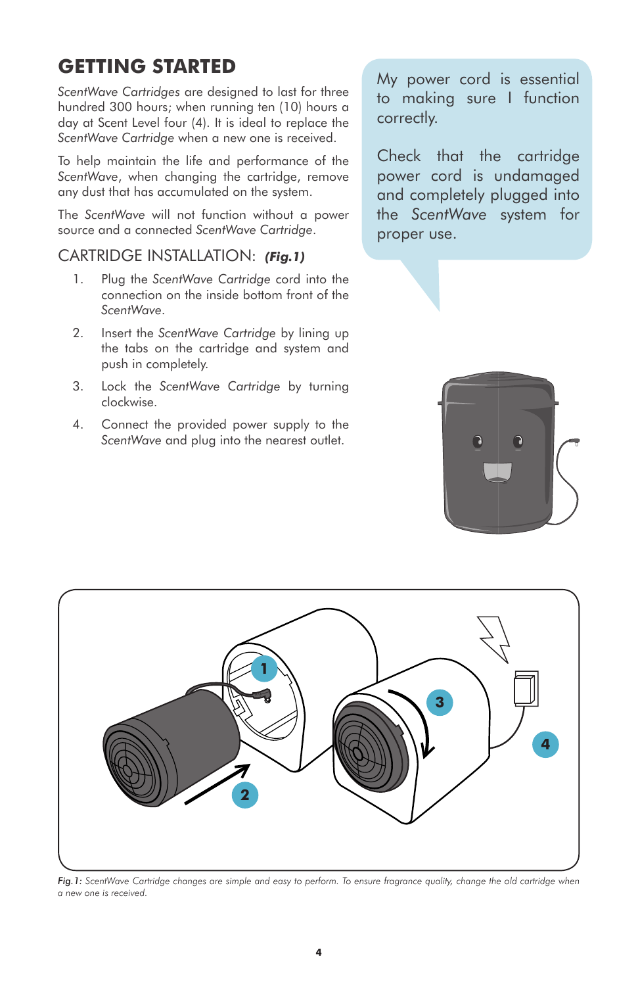# **GETTING STARTED**

*ScentWave Cartridges* are designed to last for three hundred 300 hours; when running ten (10) hours a day at Scent Level four (4). It is ideal to replace the *ScentWave Cartridge* when a new one is received.

To help maintain the life and performance of the *ScentWave*, when changing the cartridge, remove any dust that has accumulated on the system.

The *ScentWave* will not function without a power source and a connected *ScentWave Cartridge*.

#### CARTRIDGE INSTALLATION: *(Fig.1)*

- 1. Plug the *ScentWave Cartridge* cord into the connection on the inside bottom front of the *ScentWave*.
- 2. Insert the *ScentWave Cartridge* by lining up the tabs on the cartridge and system and push in completely.
- 3. Lock the *ScentWave Cartridge* by turning clockwise.
- 4. Connect the provided power supply to the *ScentWave* and plug into the nearest outlet.

My power cord is essential to making sure I function correctly.

Check that the cartridge power cord is undamaged and completely plugged into the *ScentWave* system for proper use.





*Fig.1: ScentWave Cartridge changes are simple and easy to perform. To ensure fragrance quality, change the old cartridge when a new one is received.*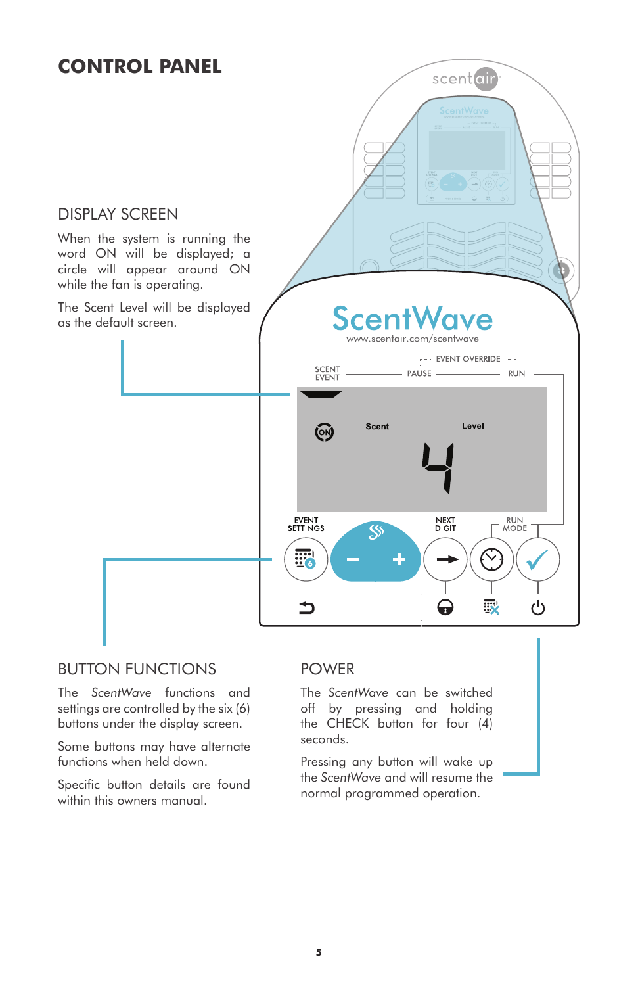### **CONTROL PANEL**



#### BUTTON FUNCTIONS

The *ScentWave* functions and settings are controlled by the six (6) buttons under the display screen.

Some buttons may have alternate functions when held down.

Specific button details are found within this owners manual.

#### POWER

The *ScentWave* can be switched off by pressing and holding the CHECK button for four (4) seconds.

Pressing any button will wake up the *ScentWave* and will resume the normal programmed operation.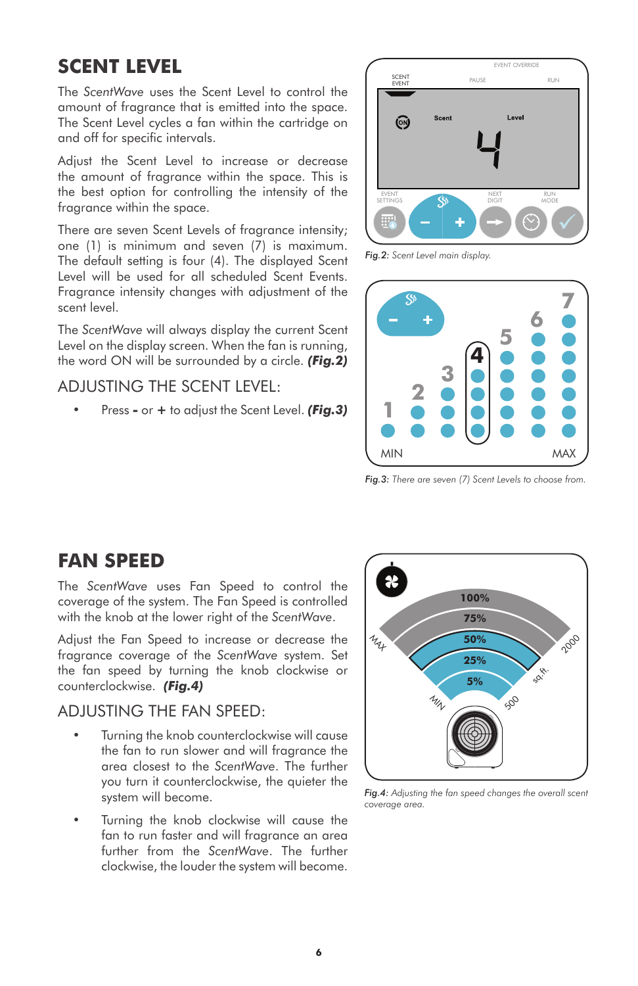### **SCENT LEVEL**

The *ScentWave* uses the Scent Level to control the amount of fragrance that is emitted into the space. The Scent Level cycles a fan within the cartridge on and off for specific intervals.

Adjust the Scent Level to increase or decrease the amount of fragrance within the space. This is the best option for controlling the intensity of the fragrance within the space.

There are seven Scent Levels of fragrance intensity; one (1) is minimum and seven (7) is maximum. The default setting is four (4). The displayed Scent Level will be used for all scheduled Scent Events. Fragrance intensity changes with adjustment of the scent level.

The *ScentWave* will always display the current Scent Level on the display screen. When the fan is running, the word ON will be surrounded by a circle. *(Fig.2)*

#### ADJUSTING THE SCENT LEVEL:

• Press **-** or **+** to adjust the Scent Level. *(Fig.3)*



*Fig.2: Scent Level main display.*



*Fig.3: There are seven (7) Scent Levels to choose from.* 

### **FAN SPEED**

The *ScentWave* uses Fan Speed to control the coverage of the system. The Fan Speed is controlled with the knob at the lower right of the *ScentWave*.

Adjust the Fan Speed to increase or decrease the fragrance coverage of the *ScentWave* system. Set the fan speed by turning the knob clockwise or counterclockwise. *(Fig.4)*

#### ADJUSTING THE FAN SPEED:

- Turning the knob counterclockwise will cause the fan to run slower and will fragrance the area closest to the *ScentWave*. The further you turn it counterclockwise, the quieter the system will become.
- Turning the knob clockwise will cause the fan to run faster and will fragrance an area further from the *ScentWave*. The further clockwise, the louder the system will become.



*Fig.4: Adjusting the fan speed changes the overall scent coverage area.*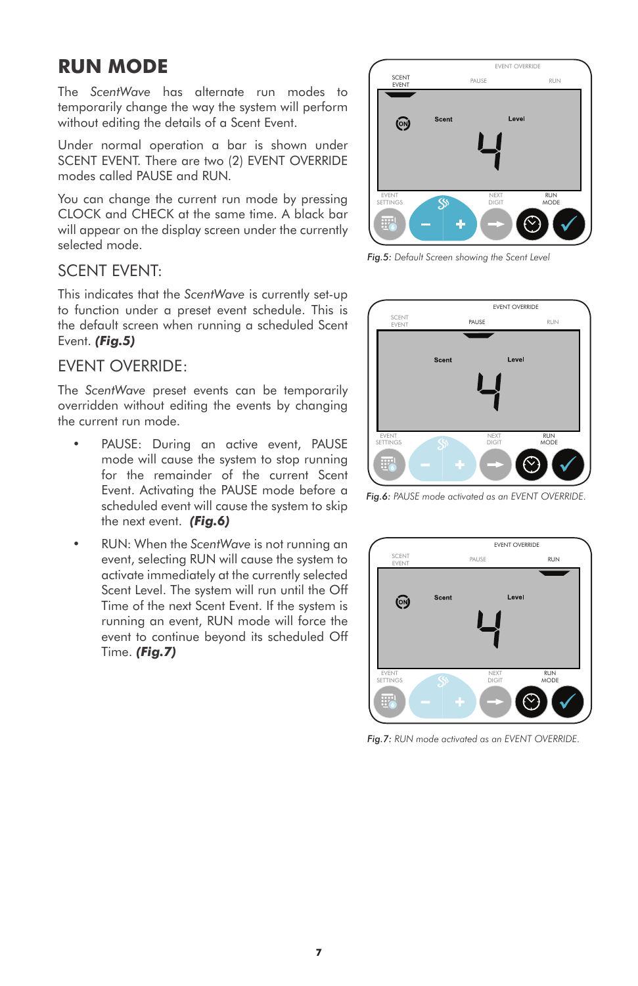### **RUN MODE**

The *ScentWave* has alternate run modes to temporarily change the way the system will perform without editing the details of a Scent Event.

Under normal operation a bar is shown under SCENT EVENT. There are two (2) EVENT OVERRIDE modes called PAUSE and RUN.

You can change the current run mode by pressing CLOCK and CHECK at the same time. A black bar will appear on the display screen under the currently selected mode.

#### SCENT EVENT:

This indicates that the *ScentWave* is currently set-up to function under a preset event schedule. This is the default screen when running a scheduled Scent Event. *(Fig.5)*

#### EVENT OVERRIDE:

The *ScentWave* preset events can be temporarily overridden without editing the events by changing the current run mode.

- PAUSE: During an active event, PAUSE mode will cause the system to stop running for the remainder of the current Scent Event. Activating the PAUSE mode before a scheduled event will cause the system to skip the next event. *(Fig.6)*
- RUN: When the *ScentWave* is not running an event, selecting RUN will cause the system to activate immediately at the currently selected Scent Level. The system will run until the Off Time of the next Scent Event. If the system is running an event, RUN mode will force the event to continue beyond its scheduled Off Time. *(Fig.7)*



*Fig.5: Default Screen showing the Scent Level*



*Fig.6: PAUSE mode activated as an EVENT OVERRIDE.*



*Fig.7: RUN mode activated as an EVENT OVERRIDE.*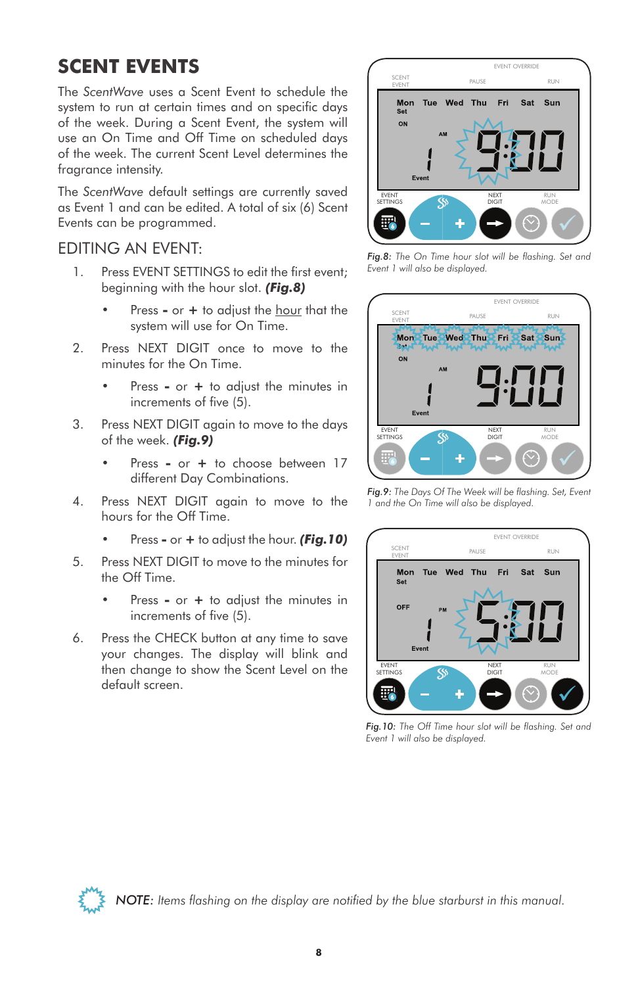## **SCENT EVENTS**

The *ScentWave* uses a Scent Event to schedule the system to run at certain times and on specific days of the week. During a Scent Event, the system will use an On Time and Off Time on scheduled days of the week. The current Scent Level determines the fragrance intensity.

The *ScentWave* default settings are currently saved as Event 1 and can be edited. A total of six (6) Scent Events can be programmed.

#### EDITING AN EVENT:

- 1. Press EVENT SETTINGS to edit the first event; beginning with the hour slot. *(Fig.8)*
	- Press **-** or **+** to adjust the hour that the system will use for On Time.
- 2. Press NEXT DIGIT once to move to the minutes for the On Time.
	- Press **-** or **+** to adjust the minutes in increments of five (5).
- 3. Press NEXT DIGIT again to move to the days of the week. *(Fig.9)*
	- Press **-** or **+** to choose between 17 different Day Combinations.
- 4. Press NEXT DIGIT again to move to the hours for the Off Time.
	- Press **-** or **+** to adjust the hour. *(Fig.10)*
- 5. Press NEXT DIGIT to move to the minutes for the Off Time.
	- Press **-** or **+** to adjust the minutes in increments of five (5).
- 6. Press the CHECK button at any time to save your changes. The display will blink and then change to show the Scent Level on the default screen.



*Fig.8: The On Time hour slot will be flashing. Set and Event 1 will also be displayed.*



*Fig.9: The Days Of The Week will be flashing. Set, Event 1 and the On Time will also be displayed.*



*Fig.10: The Off Time hour slot will be flashing. Set and Event 1 will also be displayed.*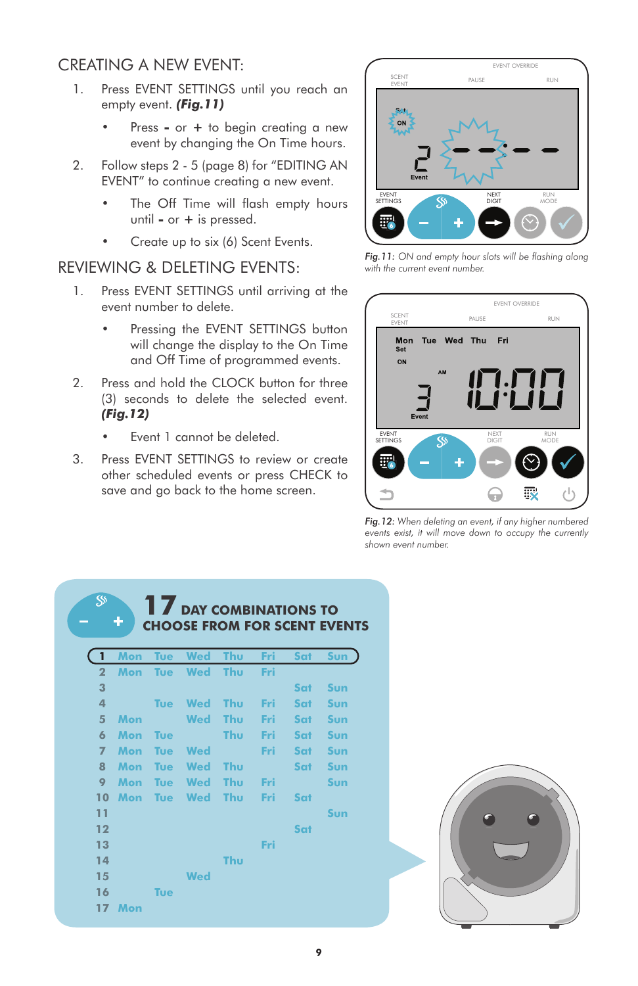#### CREATING A NEW EVENT:

- 1. Press EVENT SETTINGS until you reach an empty event. *(Fig.11)*
	- Press **-** or **+** to begin creating a new event by changing the On Time hours.
- 2. Follow steps 2 5 (page 8) for "EDITING AN EVENT" to continue creating a new event.
	- The Off Time will flash empty hours until **-** or **+** is pressed.
	- Create up to six (6) Scent Events.

#### REVIEWING & DELETING EVENTS:

- 1. Press EVENT SETTINGS until arriving at the event number to delete.
	- Pressing the EVENT SETTINGS button will change the display to the On Time and Off Time of programmed events.
- 2. Press and hold the CLOCK button for three (3) seconds to delete the selected event. *(Fig.12)*
	- Event 1 cannot be deleted.

**SS** 

3. Press EVENT SETTINGS to review or create other scheduled events or press CHECK to save and go back to the home screen.



*Fig.11: ON and empty hour slots will be flashing along with the current event number.*



*Fig.12: When deleting an event, if any higher numbered events exist, it will move down to occupy the currently shown event number.*

| 1               | Mon        | <b>Tue</b> | Wed        | Thu | Fri | <b>Sat</b> | Sun |
|-----------------|------------|------------|------------|-----|-----|------------|-----|
| $\overline{2}$  | Mon        | <b>Tue</b> | <b>Wed</b> | Thu | Fri |            |     |
| 3               |            |            |            |     |     | <b>Sat</b> | Sun |
| 4               |            | <b>Tue</b> | <b>Wed</b> | Thu | Fri | <b>Sat</b> | Sun |
| 5               | Mon        |            | <b>Wed</b> | Thu | Fri | <b>Sat</b> | Sun |
| 6               | <b>Mon</b> | <b>Tue</b> |            | Thu | Fri | <b>Sat</b> | Sun |
| $\overline{7}$  | Mon        | <b>Tue</b> | <b>Wed</b> |     | Fri | Sat -      | Sun |
| 8               | Mon        | <b>Tue</b> | Wed        | Thu |     | Sat -      | Sun |
| 9               | Mon        | <b>Tue</b> | <b>Wed</b> | Thu | Fri |            | Sun |
| 10              | Mon        | <b>Tue</b> | <b>Wed</b> | Thu | Fri | <b>Sat</b> |     |
| 11              |            |            |            |     |     |            | Sun |
| 12              |            |            |            |     |     | Sat        |     |
| 13              |            |            |            |     | Fri |            |     |
| 14              |            |            |            | Thu |     |            |     |
| 15              |            |            | <b>Wed</b> |     |     |            |     |
| 16              |            | <b>Tue</b> |            |     |     |            |     |
| 17 <sup>1</sup> | Mon        |            |            |     |     |            |     |

**17 DAY COMBINATIONS TO** 

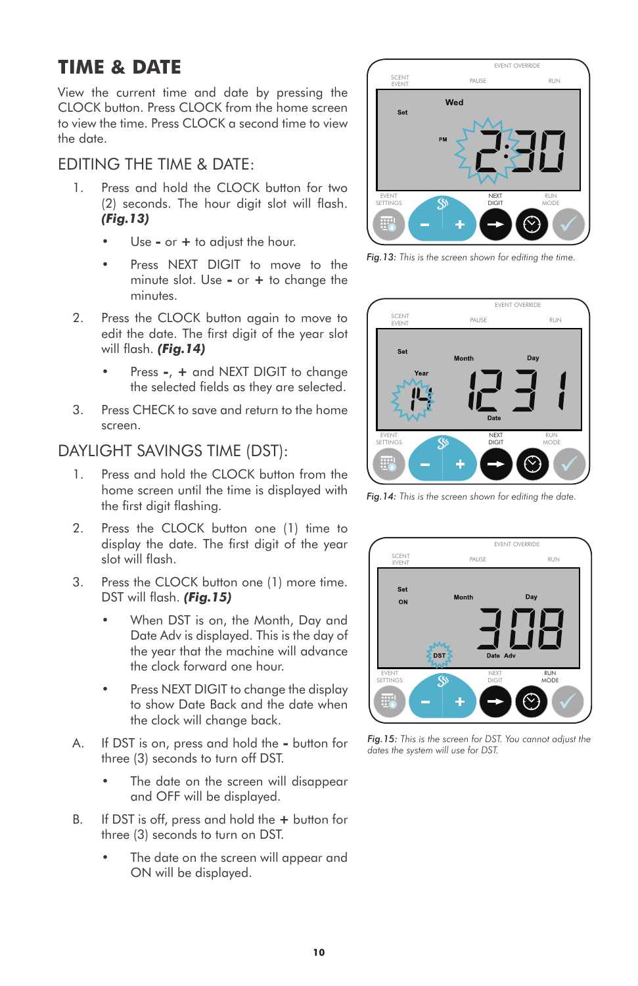## **TIME & DATE**

View the current time and date by pressing the CLOCK button. Press CLOCK from the home screen to view the time. Press CLOCK a second time to view the date.

#### EDITING THE TIME & DATE:

- 1. Press and hold the CLOCK button for two (2) seconds. The hour digit slot will flash. *(Fig.13)*
	- Use **-** or **+** to adjust the hour.
	- Press NEXT DIGIT to move to the minute slot. Use **-** or **+** to change the minutes.
- 2. Press the CLOCK button again to move to edit the date. The first digit of the year slot will flash. *(Fig.14)*
	- Press **-**, **+** and NEXT DIGIT to change the selected fields as they are selected.
- 3. Press CHECK to save and return to the home screen.

#### DAYLIGHT SAVINGS TIME (DST):

- 1. Press and hold the CLOCK button from the home screen until the time is displayed with the first digit flashing.
- 2. Press the CLOCK button one (1) time to display the date. The first digit of the year slot will flash.
- 3. Press the CLOCK button one (1) more time. DST will flash. *(Fig.15)*
	- When DST is on, the Month, Day and Date Adv is displayed. This is the day of the year that the machine will advance the clock forward one hour.
	- Press NEXT DIGIT to change the display to show Date Back and the date when the clock will change back.
- A. If DST is on, press and hold the **-** button for three (3) seconds to turn off DST.
	- The date on the screen will disappear and OFF will be displayed.
- B. If DST is off, press and hold the **+** button for three (3) seconds to turn on DST.
	- The date on the screen will appear and ON will be displayed.



*Fig.13: This is the screen shown for editing the time.*



*Fig.14: This is the screen shown for editing the date.*



*Fig.15: This is the screen for DST. You cannot adjust the dates the system will use for DST.*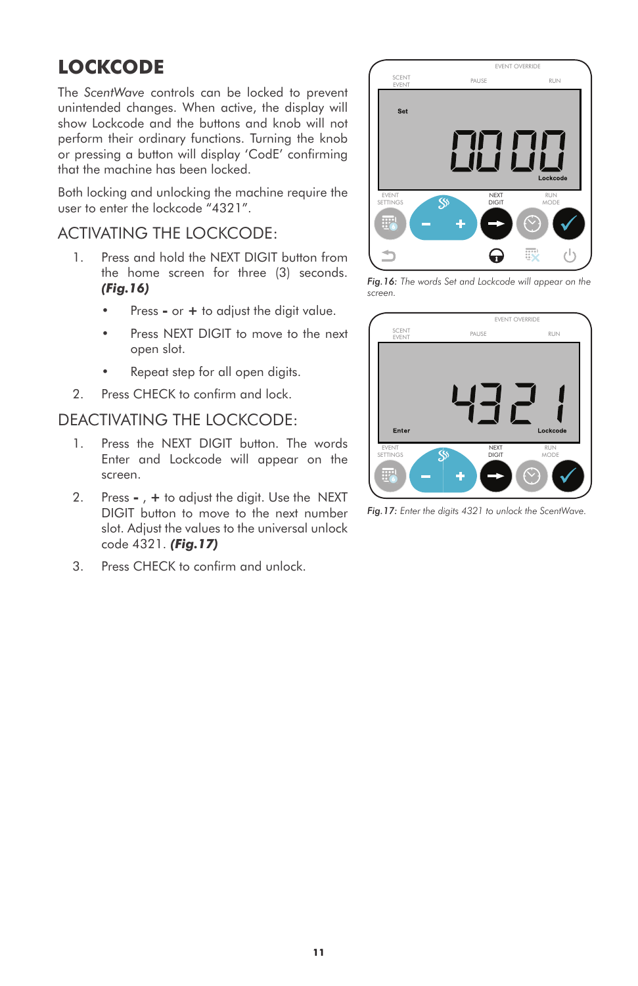# **LOCKCODE**

The *ScentWave* controls can be locked to prevent unintended changes. When active, the display will show Lockcode and the buttons and knob will not perform their ordinary functions. Turning the knob or pressing a button will display 'CodE' confirming that the machine has been locked.

Both locking and unlocking the machine require the user to enter the lockcode "4321".

#### ACTIVATING THE LOCKCODE:

- 1. Press and hold the NEXT DIGIT button from the home screen for three (3) seconds. *(Fig.16)*
	- Press **-** or **+** to adjust the digit value.
	- Press NEXT DIGIT to move to the next open slot.
	- Repeat step for all open digits.
- 2. Press CHECK to confirm and lock.

#### DEACTIVATING THE LOCKCODE:

- 1. Press the NEXT DIGIT button. The words Enter and Lockcode will appear on the screen.
- 2. Press **-** , **+** to adjust the digit. Use the NEXT DIGIT button to move to the next number slot. Adjust the values to the universal unlock code 4321. *(Fig.17)*
- 3. Press CHECK to confirm and unlock.



*Fig.16: The words Set and Lockcode will appear on the screen.*



*Fig.17: Enter the digits 4321 to unlock the ScentWave.*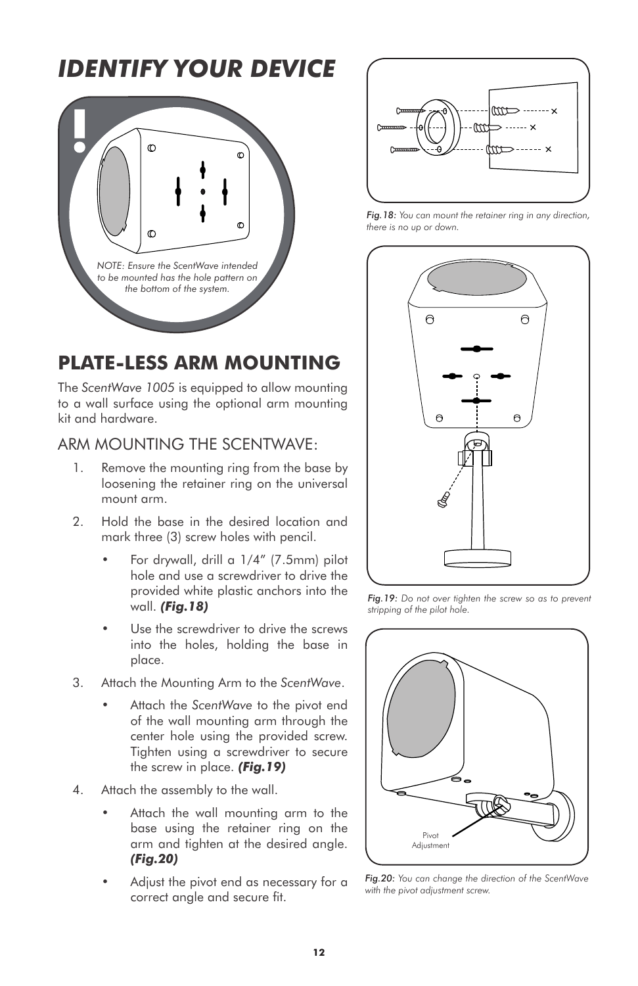

# **PLATE-LESS ARM MOUNTING**

The *ScentWave 1005* is equipped to allow mounting to a wall surface using the optional arm mounting kit and hardware.

#### ARM MOUNTING THE SCENTWAVE:

- 1. Remove the mounting ring from the base by loosening the retainer ring on the universal mount arm.
- 2. Hold the base in the desired location and mark three (3) screw holes with pencil.
	- For drywall, drill a 1/4" (7.5mm) pilot hole and use a screwdriver to drive the provided white plastic anchors into the wall. *(Fig.18)*
	- Use the screwdriver to drive the screws into the holes, holding the base in place.
- 3. Attach the Mounting Arm to the *ScentWave*.
	- Attach the *ScentWave* to the pivot end of the wall mounting arm through the center hole using the provided screw. Tighten using a screwdriver to secure the screw in place. *(Fig.19)*
- 4. Attach the assembly to the wall.
	- Attach the wall mounting arm to the base using the retainer ring on the arm and tighten at the desired angle. *(Fig.20)*
	- Adjust the pivot end as necessary for a correct angle and secure fit.



*Fig.18: You can mount the retainer ring in any direction, there is no up or down.*



*Fig.19: Do not over tighten the screw so as to prevent stripping of the pilot hole.*



*Fig.20: You can change the direction of the ScentWave with the pivot adjustment screw.*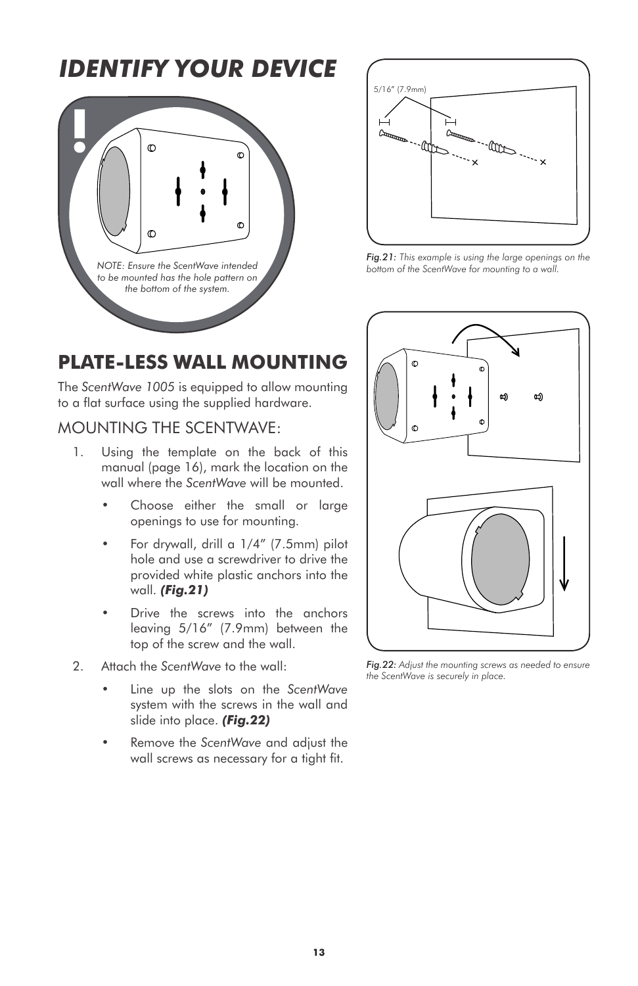



*Fig.21: This example is using the large openings on the bottom of the ScentWave for mounting to a wall.*

### **PLATE-LESS WALL MOUNTING**

The *ScentWave 1005* is equipped to allow mounting to a flat surface using the supplied hardware.

#### MOUNTING THE SCENTWAVE:

- 1. Using the template on the back of this manual (page 16), mark the location on the wall where the *ScentWave* will be mounted.
	- Choose either the small or large openings to use for mounting.
	- For drywall, drill a 1/4" (7.5mm) pilot hole and use a screwdriver to drive the provided white plastic anchors into the wall. *(Fig.21)*
	- Drive the screws into the anchors leaving 5/16" (7.9mm) between the top of the screw and the wall.
- 2. Attach the *ScentWave* to the wall:
	- Line up the slots on the *ScentWave*  system with the screws in the wall and slide into place. *(Fig.22)*
	- Remove the *ScentWave* and adjust the wall screws as necessary for a tight fit.



*Fig.22: Adjust the mounting screws as needed to ensure the ScentWave is securely in place.*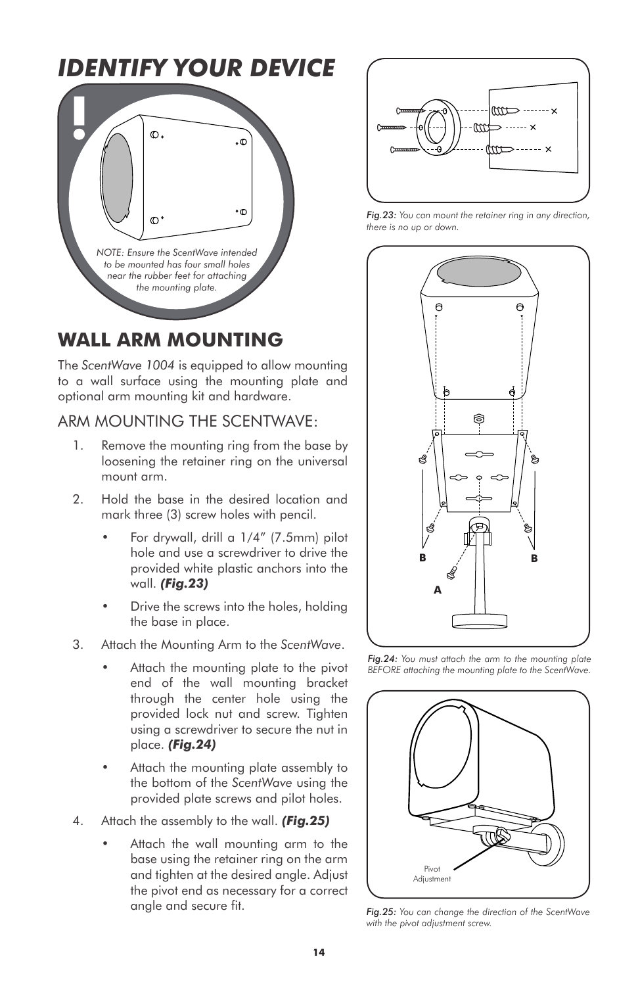

### **WALL ARM MOUNTING**

The *ScentWave 1004* is equipped to allow mounting to a wall surface using the mounting plate and optional arm mounting kit and hardware.

#### ARM MOUNTING THE SCENTWAVE:

- 1. Remove the mounting ring from the base by loosening the retainer ring on the universal mount arm.
- 2. Hold the base in the desired location and mark three (3) screw holes with pencil.
	- For drywall, drill a 1/4" (7.5mm) pilot hole and use a screwdriver to drive the provided white plastic anchors into the wall. *(Fig.23)*
	- Drive the screws into the holes, holding the base in place.
- 3. Attach the Mounting Arm to the *ScentWave*.
	- Attach the mounting plate to the pivot end of the wall mounting bracket through the center hole using the provided lock nut and screw. Tighten using a screwdriver to secure the nut in place. *(Fig.24)*
	- Attach the mounting plate assembly to the bottom of the *ScentWave* using the provided plate screws and pilot holes.
- 4. Attach the assembly to the wall. *(Fig.25)*
	- Attach the wall mounting arm to the base using the retainer ring on the arm and tighten at the desired angle. Adjust the pivot end as necessary for a correct angle and secure fit.



*Fig.23: You can mount the retainer ring in any direction, there is no up or down.*



*Fig.24: You must attach the arm to the mounting plate BEFORE attaching the mounting plate to the ScentWave.*



*Fig.25: You can change the direction of the ScentWave with the pivot adjustment screw.*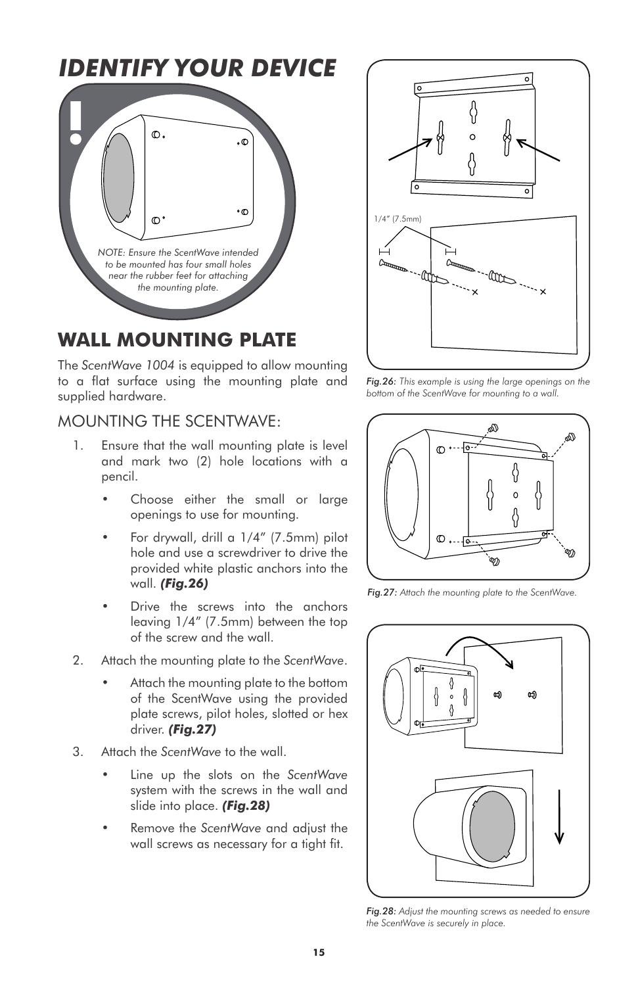

### **WALL MOUNTING PLATE**

The *ScentWave 1004* is equipped to allow mounting to a flat surface using the mounting plate and supplied hardware.

#### MOUNTING THE SCENTWAVE:

- 1. Ensure that the wall mounting plate is level and mark two (2) hole locations with a pencil.
	- Choose either the small or large openings to use for mounting.
	- For drywall, drill a 1/4" (7.5mm) pilot hole and use a screwdriver to drive the provided white plastic anchors into the wall. *(Fig.26)*
	- Drive the screws into the anchors leaving 1/4" (7.5mm) between the top of the screw and the wall.
- 2. Attach the mounting plate to the *ScentWave*.
	- Attach the mounting plate to the bottom of the ScentWave using the provided plate screws, pilot holes, slotted or hex driver. *(Fig.27)*
- 3. Attach the *ScentWave* to the wall.
	- Line up the slots on the *ScentWave*  system with the screws in the wall and slide into place. *(Fig.28)*
	- Remove the *ScentWave* and adjust the wall screws as necessary for a tight fit.



*Fig.26: This example is using the large openings on the bottom of the ScentWave for mounting to a wall.*



*Fig.27: Attach the mounting plate to the ScentWave.*



*Fig.28: Adjust the mounting screws as needed to ensure the ScentWave is securely in place.*